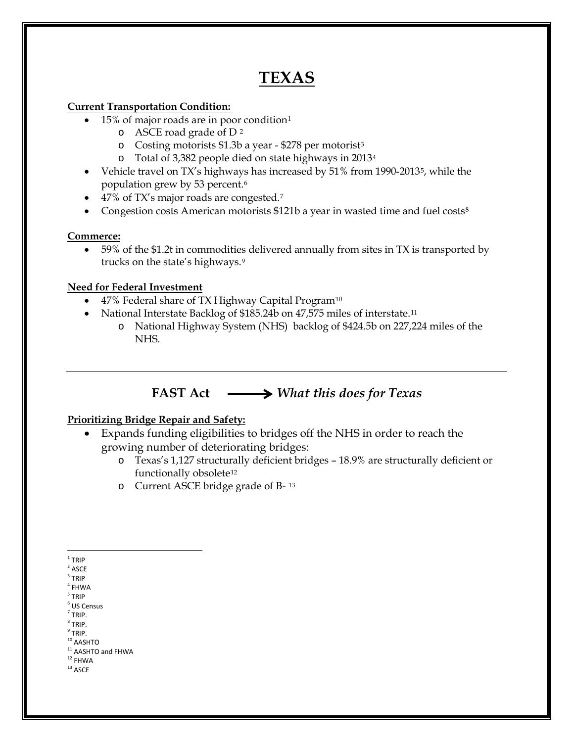# **TEXAS**

## **Current Transportation Condition:**

- [1](#page-0-0)5% of major roads are in poor condition<sup>1</sup>
	- o ASCE road grade of D [2](#page-0-1)
	- o Costing motorists \$1.3b a year \$278 per motorist[3](#page-0-2)
	- o Total of 3,382 people died on state highways in 2013[4](#page-0-3)
- Vehicle travel on TX's highways has increased by [5](#page-0-4)1% from 1990-2013<sup>5</sup>, while the population grew by 53 percent.[6](#page-0-5)
- 4[7](#page-0-6)% of TX's major roads are congested.<sup>7</sup>
- Congestion costs American motorists \$121b a year in wasted time and fuel costs<sup>[8](#page-0-7)</sup>

### **Commerce:**

• 59% of the \$1.2t in commodities delivered annually from sites in TX is transported by trucks on the state's highways.[9](#page-0-8)

### **Need for Federal Investment**

- 47% Federal share of TX Highway Capital Program<sup>[10](#page-0-9)</sup>
- National Interstate Backlog of \$185.24b on 47,575 miles of interstate.<sup>[11](#page-0-10)</sup>
	- o National Highway System (NHS) backlog of \$424.5b on 227,224 miles of the NHS.

# **FAST Act** *What this does for Texas*

## **Prioritizing Bridge Repair and Safety:**

- Expands funding eligibilities to bridges off the NHS in order to reach the growing number of deteriorating bridges:
	- o Texas's 1,127 structurally deficient bridges 18.9% are structurally deficient or functionally obsolete<sup>[12](#page-0-11)</sup>
	- o Current ASCE bridge grade of B- [13](#page-0-12)
- <span id="page-0-1"></span><span id="page-0-0"></span> $1$  TRIP
- **ASCE**
- $3$  TRIP
- <span id="page-0-3"></span><span id="page-0-2"></span> $^4$  FHWA  $\,$ <sup>5</sup> TRIP
- <span id="page-0-5"></span><span id="page-0-4"></span> $<sup>6</sup>$  US Census</sup>
- <span id="page-0-6"></span> $<sup>7</sup>$  TRIP.</sup>
- $8$  TRIP.
- <span id="page-0-8"></span><span id="page-0-7"></span> $<sup>9</sup>$  TRIP.</sup>
- <span id="page-0-9"></span> $10$  AASHTO
- <span id="page-0-10"></span> $11$  AASHTO and FHWA<br> $12$  FHWA
- <span id="page-0-12"></span><span id="page-0-11"></span> $^{\rm 13}$  ASCE
-